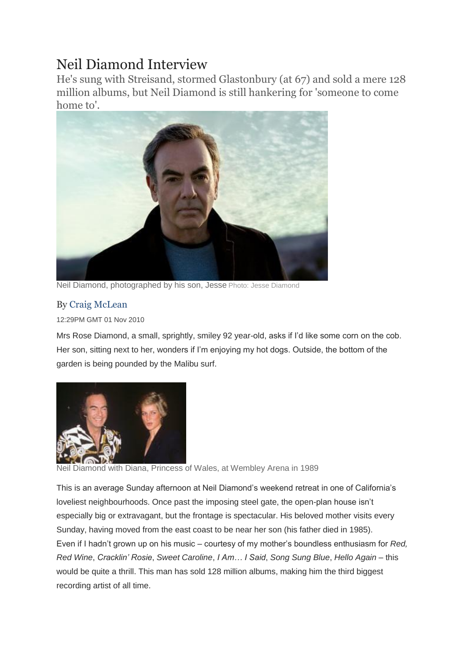## Neil Diamond Interview

He's sung with Streisand, stormed Glastonbury (at 67) and sold a mere 128 million albums, but Neil Diamond is still hankering for 'someone to come home to'.



Neil Diamond, photographed by his son, Jesse Photo: Jesse Diamond

## By [Craig McLean](http://www.telegraph.co.uk/journalists/craig-mclean/)

12:29PM GMT 01 Nov 2010

Mrs Rose Diamond, a small, sprightly, smiley 92 year-old, asks if I'd like some corn on the cob. Her son, sitting next to her, wonders if I'm enjoying my hot dogs. Outside, the bottom of the garden is being pounded by the Malibu surf.



Neil Diamond with Diana, Princess of Wales, at Wembley Arena in 1989

This is an average Sunday afternoon at Neil Diamond's weekend retreat in one of California's loveliest neighbourhoods. Once past the imposing steel gate, the open-plan house isn't especially big or extravagant, but the frontage is spectacular. His beloved mother visits every Sunday, having moved from the east coast to be near her son (his father died in 1985). Even if I hadn't grown up on his music – courtesy of my mother's boundless enthusiasm for *Red, Red Wine*, *Cracklin' Rosie*, *Sweet Caroline*, *I Am… I Said*, *Song Sung Blue*, *Hello Again* – this would be quite a thrill. This man has sold 128 million albums, making him the third biggest recording artist of all time.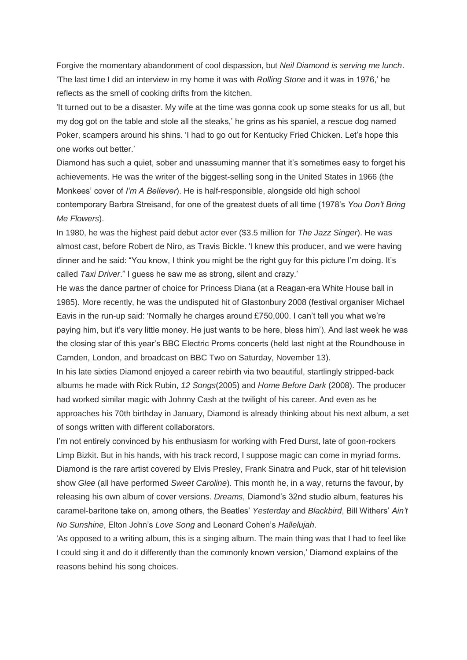Forgive the momentary abandonment of cool dispassion, but *Neil Diamond is serving me lunch*. 'The last time I did an interview in my home it was with *Rolling Stone* and it was in 1976,' he reflects as the smell of cooking drifts from the kitchen.

'It turned out to be a disaster. My wife at the time was gonna cook up some steaks for us all, but my dog got on the table and stole all the steaks,' he grins as his spaniel, a rescue dog named Poker, scampers around his shins. 'I had to go out for Kentucky Fried Chicken. Let's hope this one works out better.'

Diamond has such a quiet, sober and unassuming manner that it's sometimes easy to forget his achievements. He was the writer of the biggest-selling song in the United States in 1966 (the Monkees' cover of *I'm A Believer*). He is half-responsible, alongside old high school contemporary Barbra Streisand, for one of the greatest duets of all time (1978's *You Don't Bring Me Flowers*).

In 1980, he was the highest paid debut actor ever (\$3.5 million for *The Jazz Singer*). He was almost cast, before Robert de Niro, as Travis Bickle. 'I knew this producer, and we were having dinner and he said: "You know, I think you might be the right guy for this picture I'm doing. It's called *Taxi Driver*." I guess he saw me as strong, silent and crazy.'

He was the dance partner of choice for Princess Diana (at a Reagan-era White House ball in 1985). More recently, he was the undisputed hit of Glastonbury 2008 (festival organiser Michael Eavis in the run-up said: 'Normally he charges around £750,000. I can't tell you what we're paying him, but it's very little money. He just wants to be here, bless him'). And last week he was the closing star of this year's BBC Electric Proms concerts (held last night at the Roundhouse in Camden, London, and broadcast on BBC Two on Saturday, November 13).

In his late sixties Diamond enjoyed a career rebirth via two beautiful, startlingly stripped-back albums he made with Rick Rubin, *12 Songs*(2005) and *Home Before Dark* (2008). The producer had worked similar magic with Johnny Cash at the twilight of his career. And even as he approaches his 70th birthday in January, Diamond is already thinking about his next album, a set of songs written with different collaborators.

I'm not entirely convinced by his enthusiasm for working with Fred Durst, late of goon-rockers Limp Bizkit. But in his hands, with his track record, I suppose magic can come in myriad forms. Diamond is the rare artist covered by Elvis Presley, Frank Sinatra and Puck, star of hit television show *Glee* (all have performed *Sweet Caroline*). This month he, in a way, returns the favour, by releasing his own album of cover versions. *Dreams*, Diamond's 32nd studio album, features his caramel-baritone take on, among others, the Beatles' *Yesterday* and *Blackbird*, Bill Withers' *Ain't No Sunshine*, Elton John's *Love Song* and Leonard Cohen's *Hallelujah*.

'As opposed to a writing album, this is a singing album. The main thing was that I had to feel like I could sing it and do it differently than the commonly known version,' Diamond explains of the reasons behind his song choices.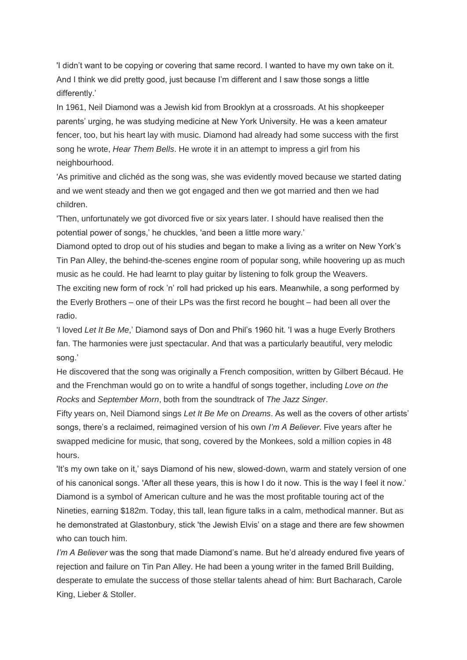'I didn't want to be copying or covering that same record. I wanted to have my own take on it. And I think we did pretty good, just because I'm different and I saw those songs a little differently.'

In 1961, Neil Diamond was a Jewish kid from Brooklyn at a crossroads. At his shopkeeper parents' urging, he was studying medicine at New York University. He was a keen amateur fencer, too, but his heart lay with music. Diamond had already had some success with the first song he wrote, *Hear Them Bells*. He wrote it in an attempt to impress a girl from his neighbourhood.

'As primitive and clichéd as the song was, she was evidently moved because we started dating and we went steady and then we got engaged and then we got married and then we had children.

'Then, unfortunately we got divorced five or six years later. I should have realised then the potential power of songs,' he chuckles, 'and been a little more wary.'

Diamond opted to drop out of his studies and began to make a living as a writer on New York's Tin Pan Alley, the behind-the-scenes engine room of popular song, while hoovering up as much music as he could. He had learnt to play guitar by listening to folk group the Weavers.

The exciting new form of rock 'n' roll had pricked up his ears. Meanwhile, a song performed by the Everly Brothers – one of their LPs was the first record he bought – had been all over the radio.

'I loved *Let It Be Me*,' Diamond says of Don and Phil's 1960 hit. 'I was a huge Everly Brothers fan. The harmonies were just spectacular. And that was a particularly beautiful, very melodic song.'

He discovered that the song was originally a French composition, written by Gilbert Bécaud. He and the Frenchman would go on to write a handful of songs together, including *Love on the Rocks* and *September Morn*, both from the soundtrack of *The Jazz Singer*.

Fifty years on, Neil Diamond sings *Let It Be Me* on *Dreams*. As well as the covers of other artists' songs, there's a reclaimed, reimagined version of his own *I'm A Believer*. Five years after he swapped medicine for music, that song, covered by the Monkees, sold a million copies in 48 hours.

'It's my own take on it,' says Diamond of his new, slowed-down, warm and stately version of one of his canonical songs. 'After all these years, this is how I do it now. This is the way I feel it now.' Diamond is a symbol of American culture and he was the most profitable touring act of the Nineties, earning \$182m. Today, this tall, lean figure talks in a calm, methodical manner. But as he demonstrated at Glastonbury, stick 'the Jewish Elvis' on a stage and there are few showmen who can touch him.

*I'm A Believer* was the song that made Diamond's name. But he'd already endured five years of rejection and failure on Tin Pan Alley. He had been a young writer in the famed Brill Building, desperate to emulate the success of those stellar talents ahead of him: Burt Bacharach, Carole King, Lieber & Stoller.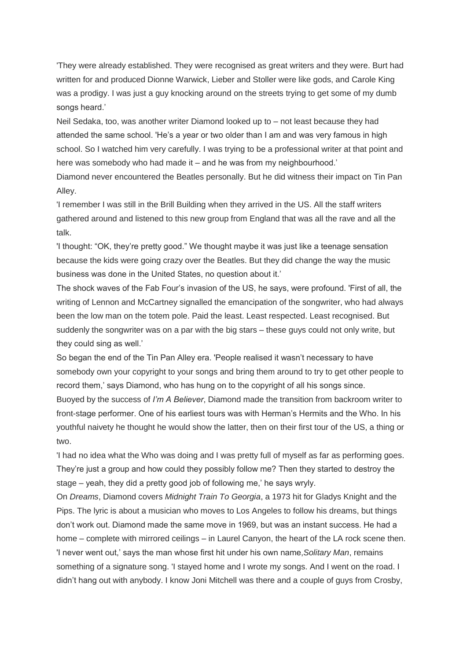'They were already established. They were recognised as great writers and they were. Burt had written for and produced Dionne Warwick, Lieber and Stoller were like gods, and Carole King was a prodigy. I was just a guy knocking around on the streets trying to get some of my dumb songs heard.'

Neil Sedaka, too, was another writer Diamond looked up to – not least because they had attended the same school. 'He's a year or two older than I am and was very famous in high school. So I watched him very carefully. I was trying to be a professional writer at that point and here was somebody who had made it – and he was from my neighbourhood.'

Diamond never encountered the Beatles personally. But he did witness their impact on Tin Pan Alley.

'I remember I was still in the Brill Building when they arrived in the US. All the staff writers gathered around and listened to this new group from England that was all the rave and all the talk.

'I thought: "OK, they're pretty good." We thought maybe it was just like a teenage sensation because the kids were going crazy over the Beatles. But they did change the way the music business was done in the United States, no question about it.'

The shock waves of the Fab Four's invasion of the US, he says, were profound. 'First of all, the writing of Lennon and McCartney signalled the emancipation of the songwriter, who had always been the low man on the totem pole. Paid the least. Least respected. Least recognised. But suddenly the songwriter was on a par with the big stars – these guys could not only write, but they could sing as well.'

So began the end of the Tin Pan Alley era. 'People realised it wasn't necessary to have somebody own your copyright to your songs and bring them around to try to get other people to record them,' says Diamond, who has hung on to the copyright of all his songs since.

Buoyed by the success of *I'm A Believer*, Diamond made the transition from backroom writer to front-stage performer. One of his earliest tours was with Herman's Hermits and the Who. In his youthful naivety he thought he would show the latter, then on their first tour of the US, a thing or two.

'I had no idea what the Who was doing and I was pretty full of myself as far as performing goes. They're just a group and how could they possibly follow me? Then they started to destroy the stage – yeah, they did a pretty good job of following me,' he says wryly.

On *Dreams*, Diamond covers *Midnight Train To Georgia*, a 1973 hit for Gladys Knight and the Pips. The lyric is about a musician who moves to Los Angeles to follow his dreams, but things don't work out. Diamond made the same move in 1969, but was an instant success. He had a home – complete with mirrored ceilings – in Laurel Canyon, the heart of the LA rock scene then. 'I never went out,' says the man whose first hit under his own name,*Solitary Man*, remains something of a signature song. 'I stayed home and I wrote my songs. And I went on the road. I didn't hang out with anybody. I know Joni Mitchell was there and a couple of guys from Crosby,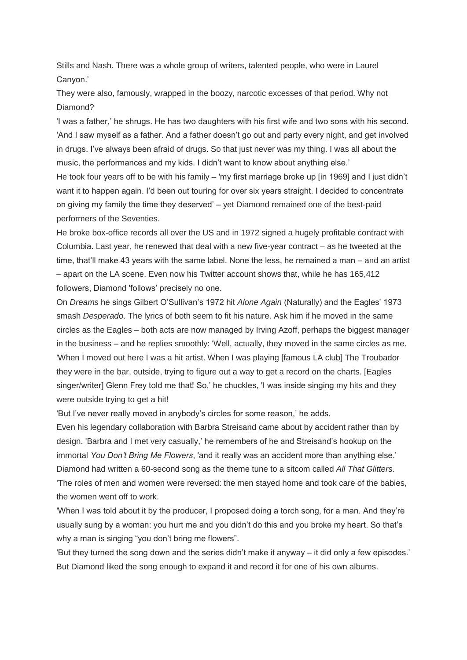Stills and Nash. There was a whole group of writers, talented people, who were in Laurel Canyon.'

They were also, famously, wrapped in the boozy, narcotic excesses of that period. Why not Diamond?

'I was a father,' he shrugs. He has two daughters with his first wife and two sons with his second. 'And I saw myself as a father. And a father doesn't go out and party every night, and get involved in drugs. I've always been afraid of drugs. So that just never was my thing. I was all about the music, the performances and my kids. I didn't want to know about anything else.' He took four years off to be with his family – 'my first marriage broke up [in 1969] and I just didn't want it to happen again. I'd been out touring for over six years straight. I decided to concentrate on giving my family the time they deserved' – yet Diamond remained one of the best-paid performers of the Seventies.

He broke box-office records all over the US and in 1972 signed a hugely profitable contract with Columbia. Last year, he renewed that deal with a new five-year contract – as he tweeted at the time, that'll make 43 years with the same label. None the less, he remained a man – and an artist – apart on the LA scene. Even now his Twitter account shows that, while he has 165,412 followers, Diamond 'follows' precisely no one.

On *Dreams* he sings Gilbert O'Sullivan's 1972 hit *Alone Again* (Naturally) and the Eagles' 1973 smash *Desperado*. The lyrics of both seem to fit his nature. Ask him if he moved in the same circles as the Eagles – both acts are now managed by Irving Azoff, perhaps the biggest manager in the business – and he replies smoothly: 'Well, actually, they moved in the same circles as me. 'When I moved out here I was a hit artist. When I was playing [famous LA club] The Troubador they were in the bar, outside, trying to figure out a way to get a record on the charts. [Eagles singer/writer] Glenn Frey told me that! So,' he chuckles, 'I was inside singing my hits and they were outside trying to get a hit!

'But I've never really moved in anybody's circles for some reason,' he adds.

Even his legendary collaboration with Barbra Streisand came about by accident rather than by design. 'Barbra and I met very casually,' he remembers of he and Streisand's hookup on the immortal *You Don't Bring Me Flowers*, 'and it really was an accident more than anything else.' Diamond had written a 60-second song as the theme tune to a sitcom called *All That Glitters*. 'The roles of men and women were reversed: the men stayed home and took care of the babies, the women went off to work.

'When I was told about it by the producer, I proposed doing a torch song, for a man. And they're usually sung by a woman: you hurt me and you didn't do this and you broke my heart. So that's why a man is singing "you don't bring me flowers".

'But they turned the song down and the series didn't make it anyway – it did only a few episodes.' But Diamond liked the song enough to expand it and record it for one of his own albums.